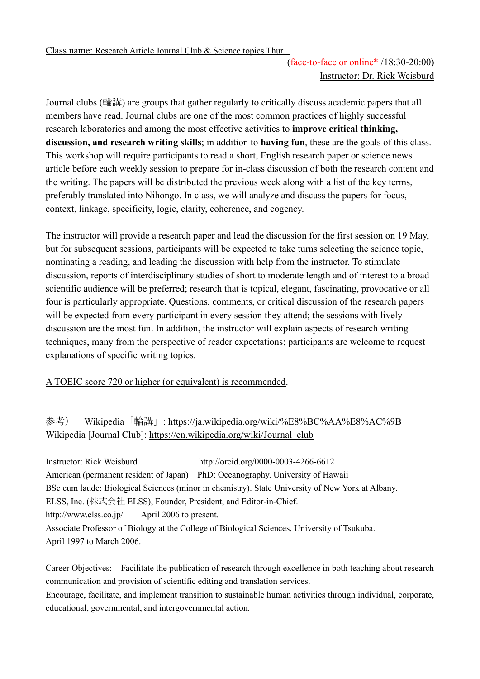Class name: Research Article Journal Club & Science topics Thur.

## (face-to-face or online\* /18:30-20:00) Instructor: Dr. Rick Weisburd

Journal clubs (輪講) are groups that gather regularly to critically discuss academic papers that all members have read. Journal clubs are one of the most common practices of highly successful research laboratories and among the most effective activities to **improve critical thinking, discussion, and research writing skills**; in addition to **having fun**, these are the goals of this class. This workshop will require participants to read a short, English research paper or science news article before each weekly session to prepare for in-class discussion of both the research content and the writing. The papers will be distributed the previous week along with a list of the key terms, preferably translated into Nihongo. In class, we will analyze and discuss the papers for focus, context, linkage, specificity, logic, clarity, coherence, and cogency.

The instructor will provide a research paper and lead the discussion for the first session on 19 May, but for subsequent sessions, participants will be expected to take turns selecting the science topic, nominating a reading, and leading the discussion with help from the instructor. To stimulate discussion, reports of interdisciplinary studies of short to moderate length and of interest to a broad scientific audience will be preferred; research that is topical, elegant, fascinating, provocative or all four is particularly appropriate. Questions, comments, or critical discussion of the research papers will be expected from every participant in every session they attend; the sessions with lively discussion are the most fun. In addition, the instructor will explain aspects of research writing techniques, many from the perspective of reader expectations; participants are welcome to request explanations of specific writing topics.

A TOEIC score 720 or higher (or equivalent) is recommended.

## 参考) Wikipedia「輪講」: <https://ja.wikipedia.org/wiki/%E8%BC%AA%E8%AC%9B> Wikipedia [Journal Club]: [https://en.wikipedia.org/wiki/Journal\\_club](https://en.wikipedia.org/wiki/Journal_club)

Instructor: Rick Weisburd http://orcid.org/0000-0003-4266-6612 American (permanent resident of Japan) PhD: Oceanography. University of Hawaii BSc cum laude: Biological Sciences (minor in chemistry). State University of New York at Albany. ELSS, Inc. (株式会社 ELSS), Founder, President, and Editor-in-Chief. http://www.elss.co.jp/ April 2006 to present. Associate Professor of Biology at the College of Biological Sciences, University of Tsukuba. April 1997 to March 2006.

Career Objectives: Facilitate the publication of research through excellence in both teaching about research communication and provision of scientific editing and translation services. Encourage, facilitate, and implement transition to sustainable human activities through individual, corporate, educational, governmental, and intergovernmental action.